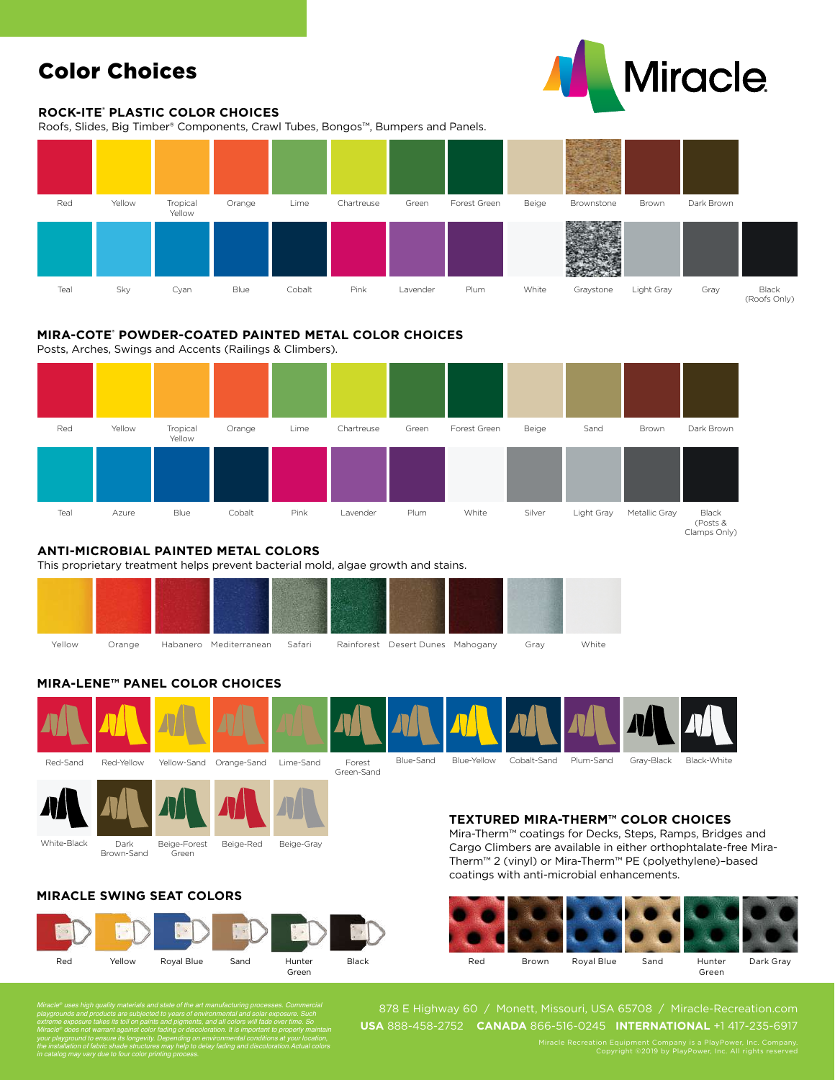# Color Choices

#### **ROCK-ITE® PLASTIC COLOR CHOICES**

Roofs, Slides, Big Timber® Components, Crawl Tubes, Bongos™, Bumpers and Panels.



### **MIRA-COTE® POWDER-COATED PAINTED METAL COLOR CHOICES**

Posts, Arches, Swings and Accents (Railings & Climbers).



#### **ANTI-MICROBIAL PAINTED METAL COLORS**

This proprietary treatment helps prevent bacterial mold, algae growth and stains.



# **MIRA-LENE™ PANEL COLOR CHOICES**





Green

## **MIRACLE SWING SEAT COLORS**

Brown-Sand



### **TEXTURED MIRA-THERM™ COLOR CHOICES**

Mira-Therm™ coatings for Decks, Steps, Ramps, Bridges and Cargo Climbers are available in either orthophtalate-free Mira-Therm™ 2 (vinyl) or Mira-Therm™ PE (polyethylene)–based coatings with anti-microbial enhancements.



*Miracle® uses high quality materials and state of the art manufacturing processes. Commercial playgrounds and products are subjected to years of environmental and solar exposure. Such extreme exposure takes its toll on paints and pigments, and all colors will fade over time. So Miracle® does not warrant against color fading or discoloration. It is important to properly maintain your playground to ensure its longevity. Depending on environmental conditions at your location, the installation of fabric shade structures may help to delay fading and discoloration.Actual colors in catalog may vary due to four color printing process.*

878 E Highway 60 / Monett, Missouri, USA 65708 / Miracle-Recreation.com **USA** 888-458-2752 **CANADA** 866-516-0245 **INTERNATIONAL** +1 417-235-6917

**Miracle**